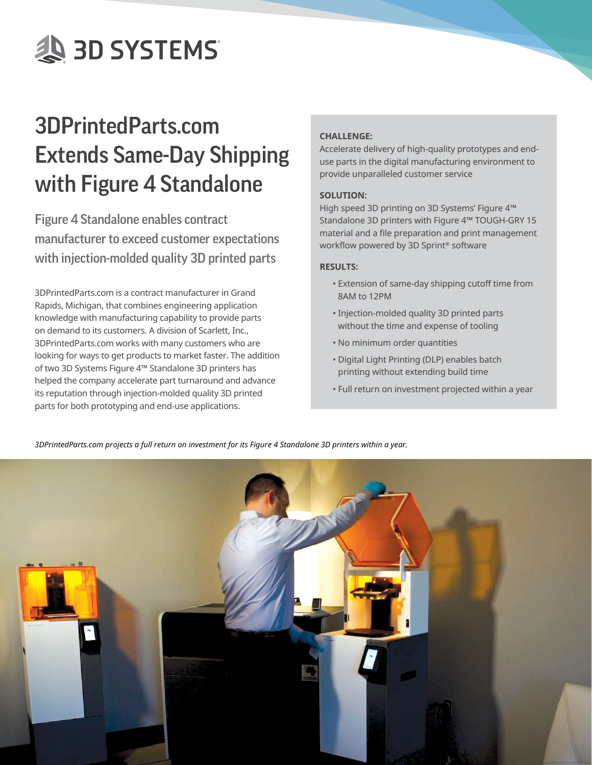**AS 3D SYSTEMS** 

# 3DPrintedParts.com Extends Same-Day Shipping with Figure 4 Standalone

Figure 4 Standalone enables contract manufacturer to exceed customer expectations with injection-molded quality 3D printed parts

3DPrintedParts.com is a contract manufacturer in Grand Rapids, Michigan, that combines engineering application knowledge with manufacturing capability to provide parts on demand to its customers. A division of Scarlett, Inc., 3DPrintedParts.com works with many customers who are looking for ways to get products to market faster. The addition of two 3D Systems Figure 4™ Standalone 3D printers has helped the company accelerate part turnaround and advance its reputation through injection-molded quality 3D printed parts for both prototyping and end-use applications.

## **CHALLENGE:**

Accelerate delivery of high-quality prototypes and enduse parts in the digital manufacturing environment to provide unparalleled customer service

### **SOLUTION:**

High speed 3D printing on 3D Systems' Figure 4™ Standalone 3D printers with Figure 4™ TOUGH-GRY 15 material and a file preparation and print management workflow powered by 3D Sprint® software

### **RESULTS:**

- Extension of same-day shipping cutoff time from 8AM to 12PM
- Injection-molded quality 3D printed parts without the time and expense of tooling
- No minimum order quantities
- Digital Light Printing (DLP) enables batch printing without extending build time
- Full return on investment projected within a year

*3DPrintedParts.com projects a full return on investment for its Figure 4 Standalone 3D printers within a year.*

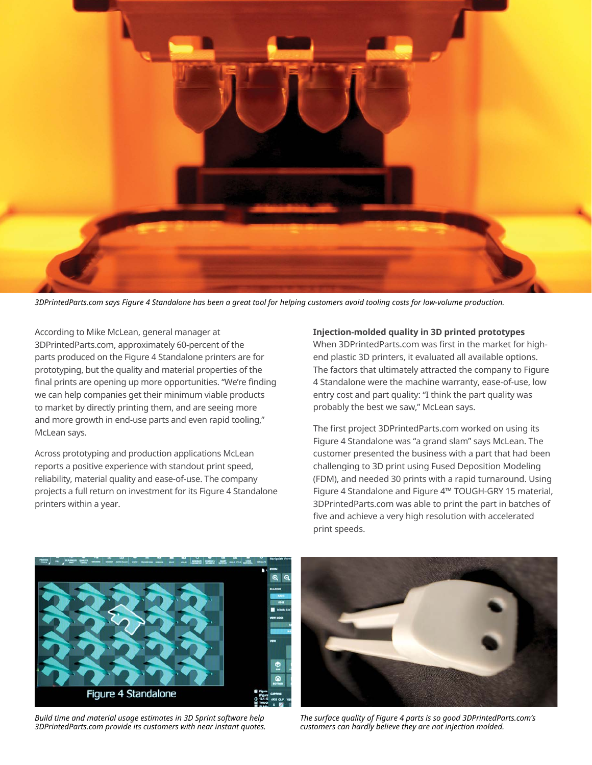

*3DPrintedParts.com says Figure 4 Standalone has been a great tool for helping customers avoid tooling costs for low-volume production.*

According to Mike McLean, general manager at 3DPrintedParts.com, approximately 60-percent of the parts produced on the Figure 4 Standalone printers are for prototyping, but the quality and material properties of the final prints are opening up more opportunities. "We're finding we can help companies get their minimum viable products to market by directly printing them, and are seeing more and more growth in end-use parts and even rapid tooling," McLean says.

Across prototyping and production applications McLean reports a positive experience with standout print speed, reliability, material quality and ease-of-use. The company projects a full return on investment for its Figure 4 Standalone printers within a year.

**Injection-molded quality in 3D printed prototypes** 

When 3DPrintedParts.com was first in the market for highend plastic 3D printers, it evaluated all available options. The factors that ultimately attracted the company to Figure 4 Standalone were the machine warranty, ease-of-use, low entry cost and part quality: "I think the part quality was probably the best we saw," McLean says.

The first project 3DPrintedParts.com worked on using its Figure 4 Standalone was "a grand slam" says McLean. The customer presented the business with a part that had been challenging to 3D print using Fused Deposition Modeling (FDM), and needed 30 prints with a rapid turnaround. Using Figure 4 Standalone and Figure 4™ TOUGH-GRY 15 material, 3DPrintedParts.com was able to print the part in batches of five and achieve a very high resolution with accelerated print speeds.



*Build time and material usage estimates in 3D Sprint software help 3DPrintedParts.com provide its customers with near instant quotes.* 



*The surface quality of Figure 4 parts is so good 3DPrintedParts.com's customers can hardly believe they are not injection molded.*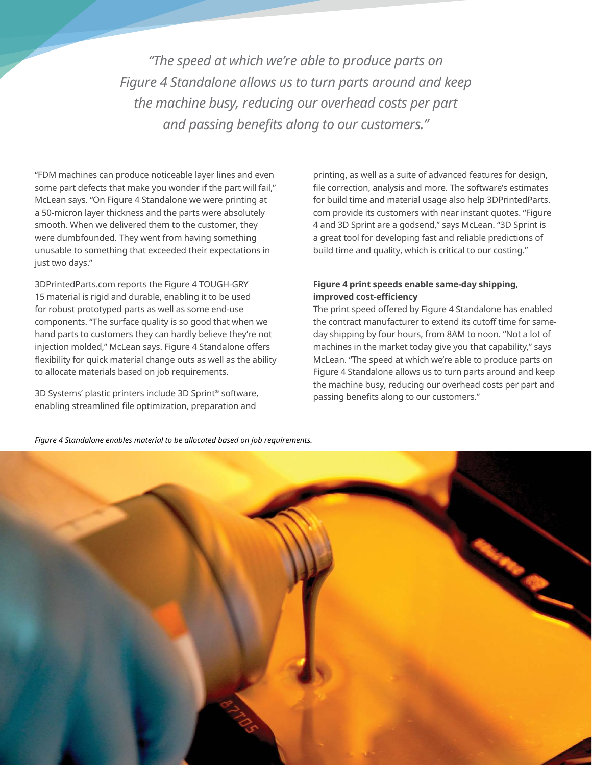*"The speed at which we're able to produce parts on Figure 4 Standalone allows us to turn parts around and keep the machine busy, reducing our overhead costs per part and passing benefits along to our customers."*

"FDM machines can produce noticeable layer lines and even some part defects that make you wonder if the part will fail," McLean says. "On Figure 4 Standalone we were printing at a 50-micron layer thickness and the parts were absolutely smooth. When we delivered them to the customer, they were dumbfounded. They went from having something unusable to something that exceeded their expectations in just two days."

3DPrintedParts.com reports the Figure 4 TOUGH-GRY 15 material is rigid and durable, enabling it to be used for robust prototyped parts as well as some end-use components. "The surface quality is so good that when we hand parts to customers they can hardly believe they're not injection molded," McLean says. Figure 4 Standalone offers flexibility for quick material change outs as well as the ability to allocate materials based on job requirements.

3D Systems' plastic printers include 3D Sprint® software, enabling streamlined file optimization, preparation and

printing, as well as a suite of advanced features for design, file correction, analysis and more. The software's estimates for build time and material usage also help 3DPrintedParts. com provide its customers with near instant quotes. "Figure 4 and 3D Sprint are a godsend," says McLean. "3D Sprint is a great tool for developing fast and reliable predictions of build time and quality, which is critical to our costing."

#### **Figure 4 print speeds enable same-day shipping, improved cost-efficiency**

The print speed offered by Figure 4 Standalone has enabled the contract manufacturer to extend its cutoff time for sameday shipping by four hours, from 8AM to noon. "Not a lot of machines in the market today give you that capability," says McLean. "The speed at which we're able to produce parts on Figure 4 Standalone allows us to turn parts around and keep the machine busy, reducing our overhead costs per part and passing benefits along to our customers."

*Figure 4 Standalone enables material to be allocated based on job requirements.*